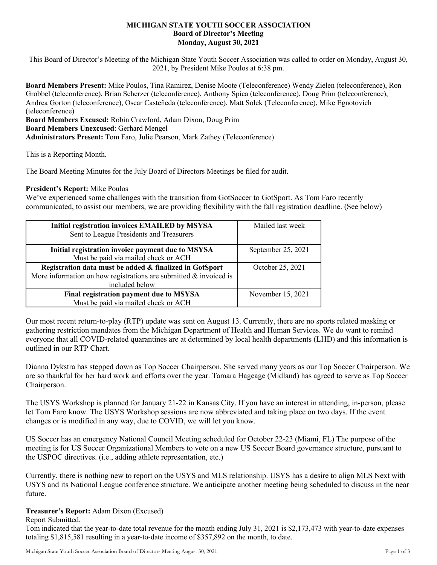## **MICHIGAN STATE YOUTH SOCCER ASSOCIATION Board of Director's Meeting Monday, August 30, 2021**

This Board of Director's Meeting of the Michigan State Youth Soccer Association was called to order on Monday, August 30, 2021, by President Mike Poulos at 6:38 pm.

**Board Members Present:** Mike Poulos, Tina Ramirez, Denise Moote (Teleconference) Wendy Zielen (teleconference), Ron Grobbel (teleconference), Brian Scherzer (teleconference), Anthony Spica (teleconference), Doug Prim (teleconference), Andrea Gorton (teleconference), Oscar Casteñeda (teleconference), Matt Solek (Teleconference), Mike Egnotovich (teleconference)

**Board Members Excused:** Robin Crawford, Adam Dixon, Doug Prim

**Board Members Unexcused**: Gerhard Mengel

**Administrators Present:** Tom Faro, Julie Pearson, Mark Zathey (Teleconference)

This is a Reporting Month.

The Board Meeting Minutes for the July Board of Directors Meetings be filed for audit.

## **President's Report:** Mike Poulos

We've experienced some challenges with the transition from GotSoccer to GotSport. As Tom Faro recently communicated, to assist our members, we are providing flexibility with the fall registration deadline. (See below)

| Initial registration invoices EMAILED by MSYSA<br>Sent to League Presidents and Treasurers                                                        | Mailed last week   |
|---------------------------------------------------------------------------------------------------------------------------------------------------|--------------------|
| Initial registration invoice payment due to MSYSA<br>Must be paid via mailed check or ACH                                                         | September 25, 2021 |
| Registration data must be added & finalized in GotSport<br>More information on how registrations are submitted $\&$ invoiced is<br>included below | October 25, 2021   |
| Final registration payment due to MSYSA<br>Must be paid via mailed check or ACH                                                                   | November 15, 2021  |

Our most recent return-to-play (RTP) update was sent on August 13. Currently, there are no sports related masking or gathering restriction mandates from the Michigan Department of Health and Human Services. We do want to remind everyone that all COVID-related quarantines are at determined by local health departments (LHD) and this information is outlined in our RTP Chart.

Dianna Dykstra has stepped down as Top Soccer Chairperson. She served many years as our Top Soccer Chairperson. We are so thankful for her hard work and efforts over the year. Tamara Hageage (Midland) has agreed to serve as Top Soccer Chairperson.

The USYS Workshop is planned for January 21-22 in Kansas City. If you have an interest in attending, in-person, please let Tom Faro know. The USYS Workshop sessions are now abbreviated and taking place on two days. If the event changes or is modified in any way, due to COVID, we will let you know.

US Soccer has an emergency National Council Meeting scheduled for October 22-23 (Miami, FL) The purpose of the meeting is for US Soccer Organizational Members to vote on a new US Soccer Board governance structure, pursuant to the USPOC directives. (i.e., adding athlete representation, etc.)

Currently, there is nothing new to report on the USYS and MLS relationship. USYS has a desire to align MLS Next with USYS and its National League conference structure. We anticipate another meeting being scheduled to discuss in the near future.

## **Treasurer's Report:** Adam Dixon (Excused)

Report Submitted.

Tom indicated that the year-to-date total revenue for the month ending July 31, 2021 is \$2,173,473 with year-to-date expenses totaling \$1,815,581 resulting in a year-to-date income of \$357,892 on the month, to date.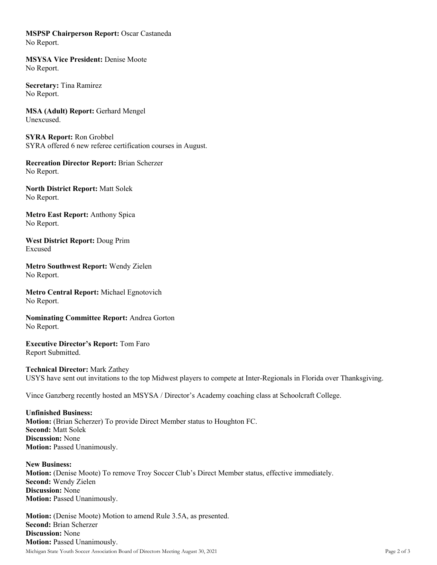**MSPSP Chairperson Report:** Oscar Castaneda No Report.

**MSYSA Vice President:** Denise Moote No Report.

**Secretary:** Tina Ramirez No Report.

**MSA (Adult) Report:** Gerhard Mengel Unexcused.

**SYRA Report:** Ron Grobbel SYRA offered 6 new referee certification courses in August.

**Recreation Director Report:** Brian Scherzer No Report.

**North District Report:** Matt Solek No Report.

**Metro East Report:** Anthony Spica No Report.

**West District Report:** Doug Prim Excused

**Metro Southwest Report:** Wendy Zielen No Report.

**Metro Central Report:** Michael Egnotovich No Report.

**Nominating Committee Report:** Andrea Gorton No Report.

**Executive Director's Report:** Tom Faro Report Submitted.

**Technical Director:** Mark Zathey USYS have sent out invitations to the top Midwest players to compete at Inter-Regionals in Florida over Thanksgiving.

Vince Ganzberg recently hosted an MSYSA / Director's Academy coaching class at Schoolcraft College.

**Unfinished Business: Motion:** (Brian Scherzer) To provide Direct Member status to Houghton FC. **Second:** Matt Solek **Discussion:** None **Motion: Passed Unanimously.** 

**New Business: Motion:** (Denise Moote) To remove Troy Soccer Club's Direct Member status, effective immediately. **Second:** Wendy Zielen **Discussion:** None **Motion: Passed Unanimously.** 

**Motion:** (Denise Moote) Motion to amend Rule 3.5A, as presented. **Second:** Brian Scherzer **Discussion:** None **Motion: Passed Unanimously.**